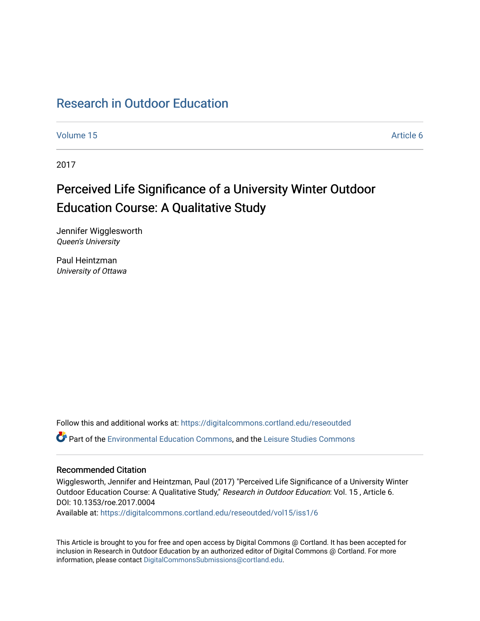## [Research in Outdoor Education](https://digitalcommons.cortland.edu/reseoutded)

[Volume 15](https://digitalcommons.cortland.edu/reseoutded/vol15) Article 6

2017

# Perceived Life Significance of a University Winter Outdoor Education Course: A Qualitative Study

Jennifer Wigglesworth Queen's University

Paul Heintzman University of Ottawa

Follow this and additional works at: [https://digitalcommons.cortland.edu/reseoutded](https://digitalcommons.cortland.edu/reseoutded?utm_source=digitalcommons.cortland.edu%2Freseoutded%2Fvol15%2Fiss1%2F6&utm_medium=PDF&utm_campaign=PDFCoverPages) Part of the [Environmental Education Commons](http://network.bepress.com/hgg/discipline/1305?utm_source=digitalcommons.cortland.edu%2Freseoutded%2Fvol15%2Fiss1%2F6&utm_medium=PDF&utm_campaign=PDFCoverPages), and the [Leisure Studies Commons](http://network.bepress.com/hgg/discipline/1197?utm_source=digitalcommons.cortland.edu%2Freseoutded%2Fvol15%2Fiss1%2F6&utm_medium=PDF&utm_campaign=PDFCoverPages) 

## Recommended Citation

Wigglesworth, Jennifer and Heintzman, Paul (2017) "Perceived Life Significance of a University Winter Outdoor Education Course: A Qualitative Study," Research in Outdoor Education: Vol. 15 , Article 6. DOI: 10.1353/roe.2017.0004

Available at: [https://digitalcommons.cortland.edu/reseoutded/vol15/iss1/6](https://digitalcommons.cortland.edu/reseoutded/vol15/iss1/6?utm_source=digitalcommons.cortland.edu%2Freseoutded%2Fvol15%2Fiss1%2F6&utm_medium=PDF&utm_campaign=PDFCoverPages) 

This Article is brought to you for free and open access by Digital Commons @ Cortland. It has been accepted for inclusion in Research in Outdoor Education by an authorized editor of Digital Commons @ Cortland. For more information, please contact [DigitalCommonsSubmissions@cortland.edu](mailto:DigitalCommonsSubmissions@cortland.edu).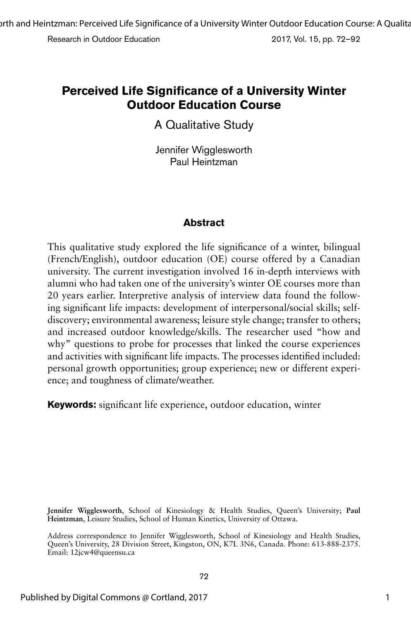## **Perceived Life Significance of a University Winter Outdoor Education Course**

A Qualitative Study

Jennifer Wigglesworth Paul Heintzman

## **Abstract**

This qualitative study explored the life significance of a winter, bilingual (French/English), outdoor education (OE) course offered by a Canadian university. The current investigation involved 16 in-depth interviews with alumni who had taken one of the university's winter OE courses more than 20 years earlier. Interpretive analysis of interview data found the following significant life impacts: development of interpersonal/social skills; selfdiscovery; environmental awareness; leisure style change; transfer to others; and increased outdoor knowledge/skills. The researcher used "how and why" questions to probe for processes that linked the course experiences and activities with significant life impacts. The processes identified included: personal growth opportunities; group experience; new or different experience; and toughness of climate/weather.

**Keywords:** significant life experience, outdoor education, winter

**Jennifer Wigglesworth**, School of Kinesiology & Health Studies, Queen's University; **Paul Heintzman**, Leisure Studies, School of Human Kinetics, University of Ottawa.

Address correspondence to Jennifer Wigglesworth, School of Kinesiology and Health Studies, Queen's University, 28 Division Street, Kingston, ON, K7L 3N6, Canada. Phone: 613-888-2375. Email: 12jcw4@queensu.ca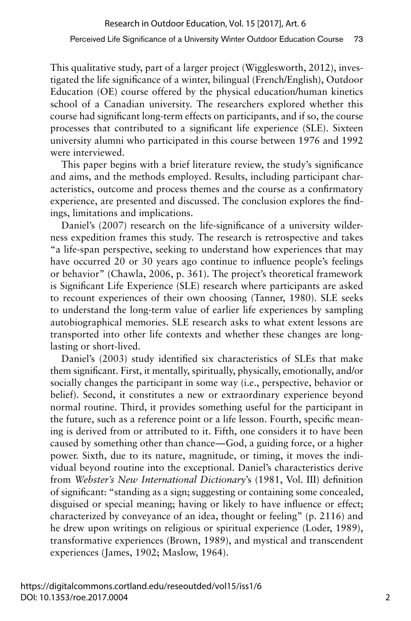This qualitative study, part of a larger project (Wigglesworth, 2012), investigated the life significance of a winter, bilingual (French/English), Outdoor Education (OE) course offered by the physical education/human kinetics school of a Canadian university. The researchers explored whether this course had significant long-term effects on participants, and if so, the course processes that contributed to a significant life experience (SLE). Sixteen university alumni who participated in this course between 1976 and 1992 were interviewed.

This paper begins with a brief literature review, the study's significance and aims, and the methods employed. Results, including participant characteristics, outcome and process themes and the course as a confirmatory experience, are presented and discussed. The conclusion explores the findings, limitations and implications.

Daniel's (2007) research on the life-significance of a university wilderness expedition frames this study. The research is retrospective and takes "a life-span perspective, seeking to understand how experiences that may have occurred 20 or 30 years ago continue to influence people's feelings or behavior" (Chawla, 2006, p. 361). The project's theoretical framework is Significant Life Experience (SLE) research where participants are asked to recount experiences of their own choosing (Tanner, 1980). SLE seeks to understand the long-term value of earlier life experiences by sampling autobiographical memories. SLE research asks to what extent lessons are transported into other life contexts and whether these changes are longlasting or short-lived.

Daniel's (2003) study identified six characteristics of SLEs that make them significant. First, it mentally, spiritually, physically, emotionally, and/or socially changes the participant in some way (i.e., perspective, behavior or belief). Second, it constitutes a new or extraordinary experience beyond normal routine. Third, it provides something useful for the participant in the future, such as a reference point or a life lesson. Fourth, specific meaning is derived from or attributed to it. Fifth, one considers it to have been caused by something other than chance—God, a guiding force, or a higher power. Sixth, due to its nature, magnitude, or timing, it moves the individual beyond routine into the exceptional. Daniel's characteristics derive from *Webster's New International Dictionary*'s (1981, Vol. III) definition of significant: "standing as a sign; suggesting or containing some concealed, disguised or special meaning; having or likely to have influence or effect; characterized by conveyance of an idea, thought or feeling" (p. 2116) and he drew upon writings on religious or spiritual experience (Loder, 1989), transformative experiences (Brown, 1989), and mystical and transcendent experiences (James, 1902; Maslow, 1964).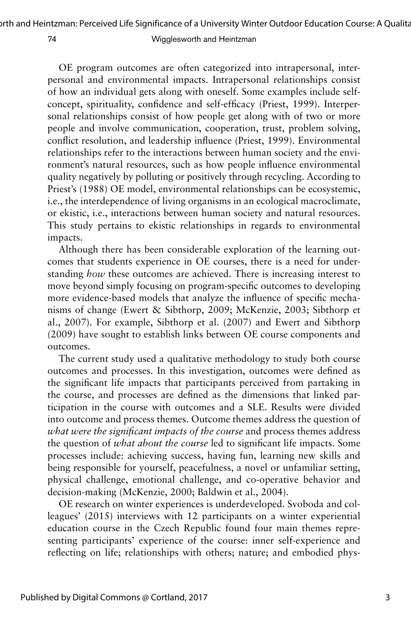OE program outcomes are often categorized into intrapersonal, interpersonal and environmental impacts. Intrapersonal relationships consist of how an individual gets along with oneself. Some examples include selfconcept, spirituality, confidence and self-efficacy (Priest, 1999). Interpersonal relationships consist of how people get along with of two or more people and involve communication, cooperation, trust, problem solving, conflict resolution, and leadership influence (Priest, 1999). Environmental relationships refer to the interactions between human society and the environment's natural resources, such as how people influence environmental quality negatively by polluting or positively through recycling. According to Priest's (1988) OE model, environmental relationships can be ecosystemic, i.e., the interdependence of living organisms in an ecological macroclimate, or ekistic, i.e., interactions between human society and natural resources. This study pertains to ekistic relationships in regards to environmental impacts.

Although there has been considerable exploration of the learning outcomes that students experience in OE courses, there is a need for understanding *how* these outcomes are achieved. There is increasing interest to move beyond simply focusing on program-specific outcomes to developing more evidence-based models that analyze the influence of specific mechanisms of change (Ewert & Sibthorp, 2009; McKenzie, 2003; Sibthorp et al., 2007). For example, Sibthorp et al. (2007) and Ewert and Sibthorp (2009) have sought to establish links between OE course components and outcomes.

The current study used a qualitative methodology to study both course outcomes and processes. In this investigation, outcomes were defined as the significant life impacts that participants perceived from partaking in the course, and processes are defined as the dimensions that linked participation in the course with outcomes and a SLE. Results were divided into outcome and process themes. Outcome themes address the question of *what were the significant impacts of the course* and process themes address the question of *what about the course* led to significant life impacts. Some processes include: achieving success, having fun, learning new skills and being responsible for yourself, peacefulness, a novel or unfamiliar setting, physical challenge, emotional challenge, and co-operative behavior and decision-making (McKenzie, 2000; Baldwin et al., 2004).

OE research on winter experiences is underdeveloped. Svoboda and colleagues' (2015) interviews with 12 participants on a winter experiential education course in the Czech Republic found four main themes representing participants' experience of the course: inner self-experience and reflecting on life; relationships with others; nature; and embodied phys-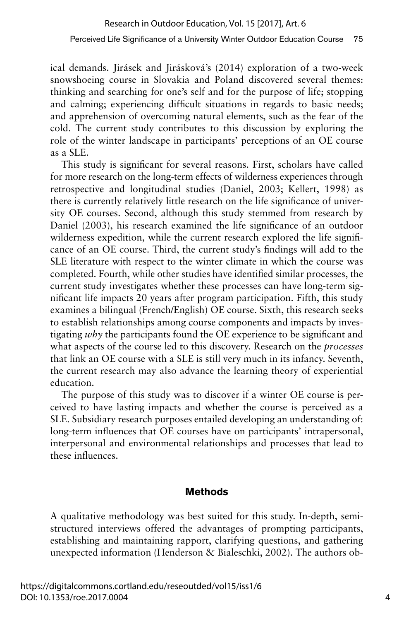ical demands. Jirásek and Jirásková's (2014) exploration of a two-week snowshoeing course in Slovakia and Poland discovered several themes: thinking and searching for one's self and for the purpose of life; stopping and calming; experiencing difficult situations in regards to basic needs; and apprehension of overcoming natural elements, such as the fear of the cold. The current study contributes to this discussion by exploring the role of the winter landscape in participants' perceptions of an OE course as a SLE.

This study is significant for several reasons. First, scholars have called for more research on the long-term effects of wilderness experiences through retrospective and longitudinal studies (Daniel, 2003; Kellert, 1998) as there is currently relatively little research on the life significance of university OE courses. Second, although this study stemmed from research by Daniel (2003), his research examined the life significance of an outdoor wilderness expedition, while the current research explored the life significance of an OE course. Third, the current study's findings will add to the SLE literature with respect to the winter climate in which the course was completed. Fourth, while other studies have identified similar processes, the current study investigates whether these processes can have long-term significant life impacts 20 years after program participation. Fifth, this study examines a bilingual (French/English) OE course. Sixth, this research seeks to establish relationships among course components and impacts by investigating *why* the participants found the OE experience to be significant and what aspects of the course led to this discovery. Research on the *processes* that link an OE course with a SLE is still very much in its infancy. Seventh, the current research may also advance the learning theory of experiential education.

The purpose of this study was to discover if a winter OE course is perceived to have lasting impacts and whether the course is perceived as a SLE. Subsidiary research purposes entailed developing an understanding of: long-term influences that OE courses have on participants' intrapersonal, interpersonal and environmental relationships and processes that lead to these influences.

## **Methods**

A qualitative methodology was best suited for this study. In-depth, semistructured interviews offered the advantages of prompting participants, establishing and maintaining rapport, clarifying questions, and gathering unexpected information (Henderson & Bialeschki, 2002). The authors ob-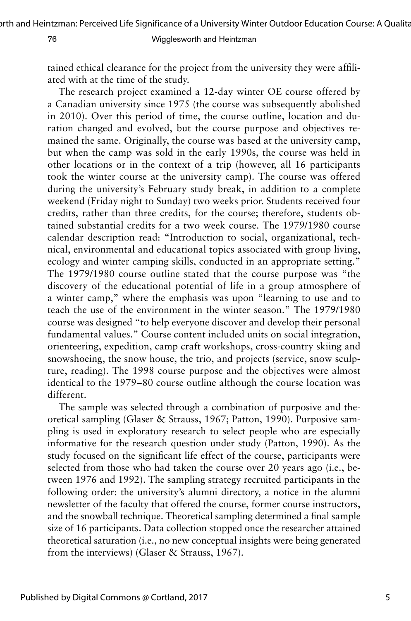tained ethical clearance for the project from the university they were affiliated with at the time of the study.

The research project examined a 12-day winter OE course offered by a Canadian university since 1975 (the course was subsequently abolished in 2010). Over this period of time, the course outline, location and duration changed and evolved, but the course purpose and objectives remained the same. Originally, the course was based at the university camp, but when the camp was sold in the early 1990s, the course was held in other locations or in the context of a trip (however, all 16 participants took the winter course at the university camp). The course was offered during the university's February study break, in addition to a complete weekend (Friday night to Sunday) two weeks prior. Students received four credits, rather than three credits, for the course; therefore, students obtained substantial credits for a two week course. The 1979/1980 course calendar description read: "Introduction to social, organizational, technical, environmental and educational topics associated with group living, ecology and winter camping skills, conducted in an appropriate setting." The 1979/1980 course outline stated that the course purpose was "the discovery of the educational potential of life in a group atmosphere of a winter camp," where the emphasis was upon "learning to use and to teach the use of the environment in the winter season." The 1979/1980 course was designed "to help everyone discover and develop their personal fundamental values." Course content included units on social integration, orienteering, expedition, camp craft workshops, cross-country skiing and snowshoeing, the snow house, the trio, and projects (service, snow sculpture, reading). The 1998 course purpose and the objectives were almost identical to the 1979–80 course outline although the course location was different.

The sample was selected through a combination of purposive and theoretical sampling (Glaser & Strauss, 1967; Patton, 1990). Purposive sampling is used in exploratory research to select people who are especially informative for the research question under study (Patton, 1990). As the study focused on the significant life effect of the course, participants were selected from those who had taken the course over 20 years ago (i.e., between 1976 and 1992). The sampling strategy recruited participants in the following order: the university's alumni directory, a notice in the alumni newsletter of the faculty that offered the course, former course instructors, and the snowball technique. Theoretical sampling determined a final sample size of 16 participants. Data collection stopped once the researcher attained theoretical saturation (i.e., no new conceptual insights were being generated from the interviews) (Glaser & Strauss, 1967).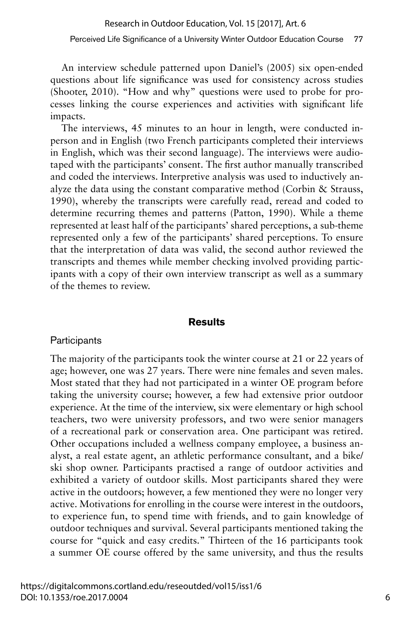Perceived Life Significance of a University Winter Outdoor Education Course 77

An interview schedule patterned upon Daniel's (2005) six open-ended questions about life significance was used for consistency across studies (Shooter, 2010). "How and why" questions were used to probe for processes linking the course experiences and activities with significant life impacts.

The interviews, 45 minutes to an hour in length, were conducted inperson and in English (two French participants completed their interviews in English, which was their second language). The interviews were audiotaped with the participants' consent. The first author manually transcribed and coded the interviews. Interpretive analysis was used to inductively analyze the data using the constant comparative method (Corbin & Strauss, 1990), whereby the transcripts were carefully read, reread and coded to determine recurring themes and patterns (Patton, 1990). While a theme represented at least half of the participants' shared perceptions, a sub-theme represented only a few of the participants' shared perceptions. To ensure that the interpretation of data was valid, the second author reviewed the transcripts and themes while member checking involved providing participants with a copy of their own interview transcript as well as a summary of the themes to review.

#### **Results**

#### **Participants**

The majority of the participants took the winter course at 21 or 22 years of age; however, one was 27 years. There were nine females and seven males. Most stated that they had not participated in a winter OE program before taking the university course; however, a few had extensive prior outdoor experience. At the time of the interview, six were elementary or high school teachers, two were university professors, and two were senior managers of a recreational park or conservation area. One participant was retired. Other occupations included a wellness company employee, a business analyst, a real estate agent, an athletic performance consultant, and a bike/ ski shop owner. Participants practised a range of outdoor activities and exhibited a variety of outdoor skills. Most participants shared they were active in the outdoors; however, a few mentioned they were no longer very active. Motivations for enrolling in the course were interest in the outdoors, to experience fun, to spend time with friends, and to gain knowledge of outdoor techniques and survival. Several participants mentioned taking the course for "quick and easy credits." Thirteen of the 16 participants took a summer OE course offered by the same university, and thus the results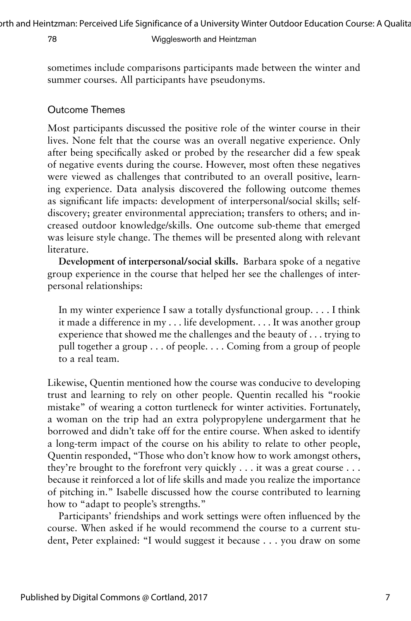orth and Heintzman: Perceived Life Significance of a University Winter Outdoor Education Course: A Qualita

78 Wigglesworth and Heintzman

sometimes include comparisons participants made between the winter and summer courses. All participants have pseudonyms.

## Outcome Themes

Most participants discussed the positive role of the winter course in their lives. None felt that the course was an overall negative experience. Only after being specifically asked or probed by the researcher did a few speak of negative events during the course. However, most often these negatives were viewed as challenges that contributed to an overall positive, learning experience. Data analysis discovered the following outcome themes as significant life impacts: development of interpersonal/social skills; selfdiscovery; greater environmental appreciation; transfers to others; and increased outdoor knowledge/skills. One outcome sub-theme that emerged was leisure style change. The themes will be presented along with relevant literature.

**Development of interpersonal/social skills.** Barbara spoke of a negative group experience in the course that helped her see the challenges of interpersonal relationships:

In my winter experience I saw a totally dysfunctional group. . . . I think it made a difference in my . . . life development. . . . It was another group experience that showed me the challenges and the beauty of . . . trying to pull together a group . . . of people. . . . Coming from a group of people to a real team.

Likewise, Quentin mentioned how the course was conducive to developing trust and learning to rely on other people. Quentin recalled his "rookie mistake" of wearing a cotton turtleneck for winter activities. Fortunately, a woman on the trip had an extra polypropylene undergarment that he borrowed and didn't take off for the entire course. When asked to identify a long-term impact of the course on his ability to relate to other people, Quentin responded, "Those who don't know how to work amongst others, they're brought to the forefront very quickly  $\dots$  it was a great course  $\dots$ because it reinforced a lot of life skills and made you realize the importance of pitching in." Isabelle discussed how the course contributed to learning how to "adapt to people's strengths."

Participants' friendships and work settings were often influenced by the course. When asked if he would recommend the course to a current student, Peter explained: "I would suggest it because . . . you draw on some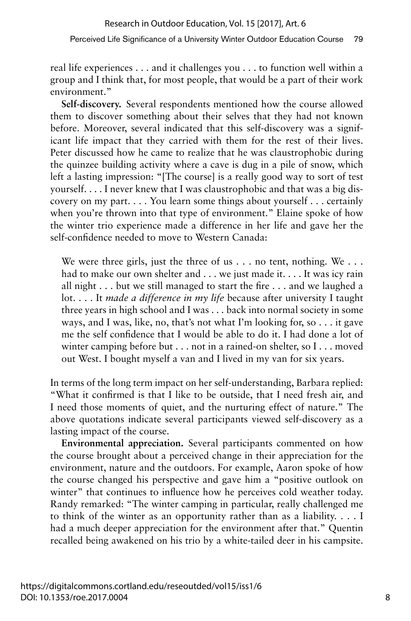#### Research in Outdoor Education, Vol. 15 [2017], Art. 6

Perceived Life Significance of a University Winter Outdoor Education Course 79

real life experiences . . . and it challenges you . . . to function well within a group and I think that, for most people, that would be a part of their work environment."

**Self-discovery.** Several respondents mentioned how the course allowed them to discover something about their selves that they had not known before. Moreover, several indicated that this self-discovery was a significant life impact that they carried with them for the rest of their lives. Peter discussed how he came to realize that he was claustrophobic during the quinzee building activity where a cave is dug in a pile of snow, which left a lasting impression: "[The course] is a really good way to sort of test yourself. . . . I never knew that I was claustrophobic and that was a big discovery on my part. . . . You learn some things about yourself . . . certainly when you're thrown into that type of environment." Elaine spoke of how the winter trio experience made a difference in her life and gave her the self-confidence needed to move to Western Canada:

We were three girls, just the three of us  $\dots$  no tent, nothing. We  $\dots$ had to make our own shelter and . . . we just made it. . . . It was icy rain all night . . . but we still managed to start the fire . . . and we laughed a lot. . . . It *made a difference in my life* because after university I taught three years in high school and I was . . . back into normal society in some ways, and I was, like, no, that's not what I'm looking for, so . . . it gave me the self confidence that I would be able to do it. I had done a lot of winter camping before but . . . not in a rained-on shelter, so I . . . moved out West. I bought myself a van and I lived in my van for six years.

In terms of the long term impact on her self-understanding, Barbara replied: "What it confirmed is that I like to be outside, that I need fresh air, and I need those moments of quiet, and the nurturing effect of nature." The above quotations indicate several participants viewed self-discovery as a lasting impact of the course.

**Environmental appreciation.** Several participants commented on how the course brought about a perceived change in their appreciation for the environment, nature and the outdoors. For example, Aaron spoke of how the course changed his perspective and gave him a "positive outlook on winter" that continues to influence how he perceives cold weather today. Randy remarked: "The winter camping in particular, really challenged me to think of the winter as an opportunity rather than as a liability. . . . I had a much deeper appreciation for the environment after that." Quentin recalled being awakened on his trio by a white-tailed deer in his campsite.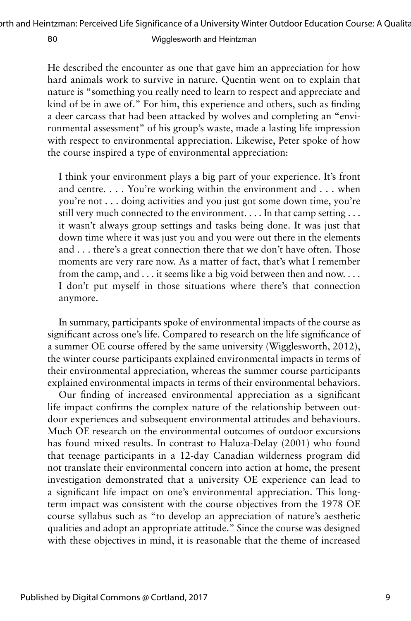He described the encounter as one that gave him an appreciation for how hard animals work to survive in nature. Quentin went on to explain that nature is "something you really need to learn to respect and appreciate and kind of be in awe of." For him, this experience and others, such as finding a deer carcass that had been attacked by wolves and completing an "environmental assessment" of his group's waste, made a lasting life impression with respect to environmental appreciation. Likewise, Peter spoke of how the course inspired a type of environmental appreciation:

I think your environment plays a big part of your experience. It's front and centre. . . . You're working within the environment and . . . when you're not . . . doing activities and you just got some down time, you're still very much connected to the environment. . . . In that camp setting . . . it wasn't always group settings and tasks being done. It was just that down time where it was just you and you were out there in the elements and . . . there's a great connection there that we don't have often. Those moments are very rare now. As a matter of fact, that's what I remember from the camp, and . . . it seems like a big void between then and now. . . . I don't put myself in those situations where there's that connection anymore.

In summary, participants spoke of environmental impacts of the course as significant across one's life. Compared to research on the life significance of a summer OE course offered by the same university (Wigglesworth, 2012), the winter course participants explained environmental impacts in terms of their environmental appreciation, whereas the summer course participants explained environmental impacts in terms of their environmental behaviors.

Our finding of increased environmental appreciation as a significant life impact confirms the complex nature of the relationship between outdoor experiences and subsequent environmental attitudes and behaviours. Much OE research on the environmental outcomes of outdoor excursions has found mixed results. In contrast to Haluza-Delay (2001) who found that teenage participants in a 12-day Canadian wilderness program did not translate their environmental concern into action at home, the present investigation demonstrated that a university OE experience can lead to a significant life impact on one's environmental appreciation. This longterm impact was consistent with the course objectives from the 1978 OE course syllabus such as "to develop an appreciation of nature's aesthetic qualities and adopt an appropriate attitude." Since the course was designed with these objectives in mind, it is reasonable that the theme of increased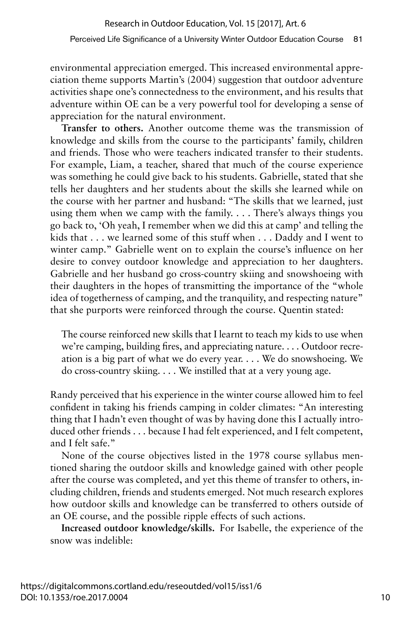environmental appreciation emerged. This increased environmental appreciation theme supports Martin's (2004) suggestion that outdoor adventure activities shape one's connectedness to the environment, and his results that adventure within OE can be a very powerful tool for developing a sense of appreciation for the natural environment.

**Transfer to others.** Another outcome theme was the transmission of knowledge and skills from the course to the participants' family, children and friends. Those who were teachers indicated transfer to their students. For example, Liam, a teacher, shared that much of the course experience was something he could give back to his students. Gabrielle, stated that she tells her daughters and her students about the skills she learned while on the course with her partner and husband: "The skills that we learned, just using them when we camp with the family. . . . There's always things you go back to, 'Oh yeah, I remember when we did this at camp' and telling the kids that . . . we learned some of this stuff when . . . Daddy and I went to winter camp." Gabrielle went on to explain the course's influence on her desire to convey outdoor knowledge and appreciation to her daughters. Gabrielle and her husband go cross-country skiing and snowshoeing with their daughters in the hopes of transmitting the importance of the "whole idea of togetherness of camping, and the tranquility, and respecting nature" that she purports were reinforced through the course. Quentin stated:

The course reinforced new skills that I learnt to teach my kids to use when we're camping, building fires, and appreciating nature. . . . Outdoor recreation is a big part of what we do every year. . . . We do snowshoeing. We do cross-country skiing. . . . We instilled that at a very young age.

Randy perceived that his experience in the winter course allowed him to feel confident in taking his friends camping in colder climates: "An interesting thing that I hadn't even thought of was by having done this I actually introduced other friends . . . because I had felt experienced, and I felt competent, and I felt safe."

None of the course objectives listed in the 1978 course syllabus mentioned sharing the outdoor skills and knowledge gained with other people after the course was completed, and yet this theme of transfer to others, including children, friends and students emerged. Not much research explores how outdoor skills and knowledge can be transferred to others outside of an OE course, and the possible ripple effects of such actions.

**Increased outdoor knowledge/skills.** For Isabelle, the experience of the snow was indelible: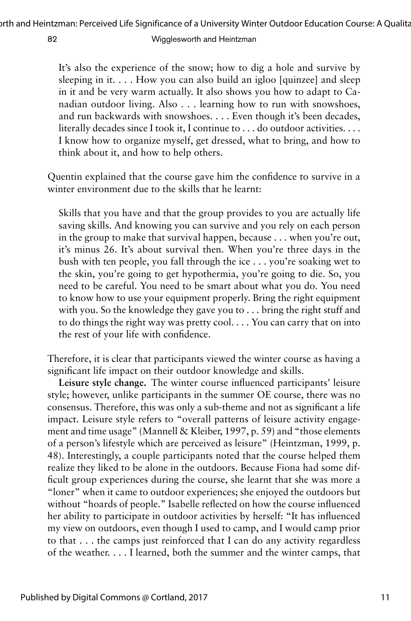It's also the experience of the snow; how to dig a hole and survive by sleeping in it. . . . How you can also build an igloo [quinzee] and sleep in it and be very warm actually. It also shows you how to adapt to Canadian outdoor living. Also . . . learning how to run with snowshoes, and run backwards with snowshoes. . . . Even though it's been decades, literally decades since I took it, I continue to . . . do outdoor activities. . . . I know how to organize myself, get dressed, what to bring, and how to think about it, and how to help others.

Quentin explained that the course gave him the confidence to survive in a winter environment due to the skills that he learnt:

Skills that you have and that the group provides to you are actually life saving skills. And knowing you can survive and you rely on each person in the group to make that survival happen, because . . . when you're out, it's minus 26. It's about survival then. When you're three days in the bush with ten people, you fall through the ice . . . you're soaking wet to the skin, you're going to get hypothermia, you're going to die. So, you need to be careful. You need to be smart about what you do. You need to know how to use your equipment properly. Bring the right equipment with you. So the knowledge they gave you to . . . bring the right stuff and to do things the right way was pretty cool. . . . You can carry that on into the rest of your life with confidence.

Therefore, it is clear that participants viewed the winter course as having a significant life impact on their outdoor knowledge and skills.

**Leisure style change.** The winter course influenced participants' leisure style; however, unlike participants in the summer OE course, there was no consensus. Therefore, this was only a sub-theme and not as significant a life impact. Leisure style refers to "overall patterns of leisure activity engagement and time usage" (Mannell & Kleiber, 1997, p. 59) and "those elements of a person's lifestyle which are perceived as leisure" (Heintzman, 1999, p. 48). Interestingly, a couple participants noted that the course helped them realize they liked to be alone in the outdoors. Because Fiona had some difficult group experiences during the course, she learnt that she was more a "loner" when it came to outdoor experiences; she enjoyed the outdoors but without "hoards of people." Isabelle reflected on how the course influenced her ability to participate in outdoor activities by herself: "It has influenced my view on outdoors, even though I used to camp, and I would camp prior to that . . . the camps just reinforced that I can do any activity regardless of the weather. . . . I learned, both the summer and the winter camps, that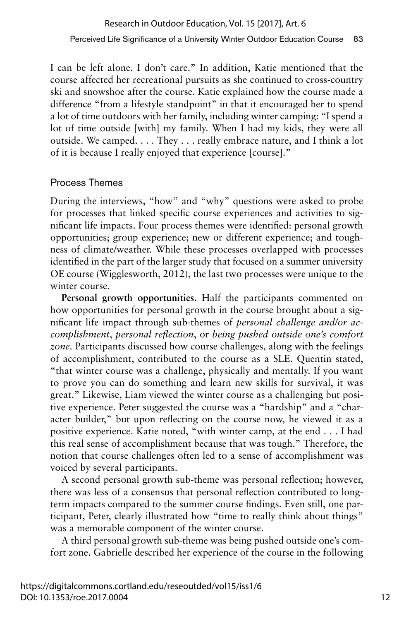#### Research in Outdoor Education, Vol. 15 [2017], Art. 6

Perceived Life Significance of a University Winter Outdoor Education Course 83

I can be left alone. I don't care." In addition, Katie mentioned that the course affected her recreational pursuits as she continued to cross-country ski and snowshoe after the course. Katie explained how the course made a difference "from a lifestyle standpoint" in that it encouraged her to spend a lot of time outdoors with her family, including winter camping: "I spend a lot of time outside [with] my family. When I had my kids, they were all outside. We camped. . . . They . . . really embrace nature, and I think a lot of it is because I really enjoyed that experience [course]."

### Process Themes

During the interviews, "how" and "why" questions were asked to probe for processes that linked specific course experiences and activities to significant life impacts. Four process themes were identified: personal growth opportunities; group experience; new or different experience; and toughness of climate/weather. While these processes overlapped with processes identified in the part of the larger study that focused on a summer university OE course (Wigglesworth, 2012), the last two processes were unique to the winter course.

**Personal growth opportunities.** Half the participants commented on how opportunities for personal growth in the course brought about a significant life impact through sub-themes of *personal challenge and/or accomplishment*, *personal reflection*, or *being pushed outside one's comfort zone.* Participants discussed how course challenges, along with the feelings of accomplishment, contributed to the course as a SLE. Quentin stated, "that winter course was a challenge, physically and mentally. If you want to prove you can do something and learn new skills for survival, it was great." Likewise, Liam viewed the winter course as a challenging but positive experience. Peter suggested the course was a "hardship" and a "character builder," but upon reflecting on the course now, he viewed it as a positive experience. Katie noted, "with winter camp, at the end . . . I had this real sense of accomplishment because that was tough." Therefore, the notion that course challenges often led to a sense of accomplishment was voiced by several participants.

A second personal growth sub-theme was personal reflection; however, there was less of a consensus that personal reflection contributed to longterm impacts compared to the summer course findings. Even still, one participant, Peter, clearly illustrated how "time to really think about things" was a memorable component of the winter course.

A third personal growth sub-theme was being pushed outside one's comfort zone. Gabrielle described her experience of the course in the following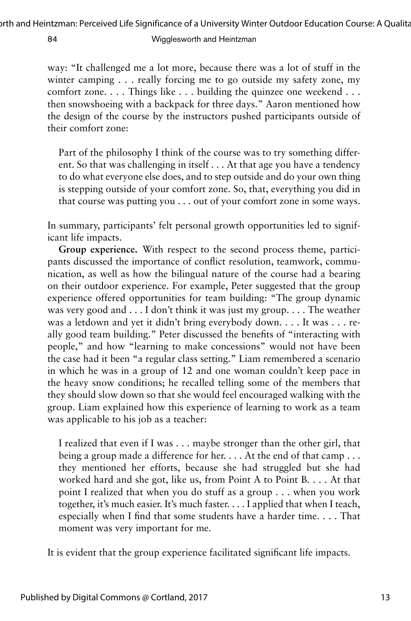way: "It challenged me a lot more, because there was a lot of stuff in the winter camping . . . really forcing me to go outside my safety zone, my comfort zone. . . . Things like . . . building the quinzee one weekend . . . then snowshoeing with a backpack for three days." Aaron mentioned how the design of the course by the instructors pushed participants outside of their comfort zone:

Part of the philosophy I think of the course was to try something different. So that was challenging in itself . . . At that age you have a tendency to do what everyone else does, and to step outside and do your own thing is stepping outside of your comfort zone. So, that, everything you did in that course was putting you . . . out of your comfort zone in some ways.

In summary, participants' felt personal growth opportunities led to significant life impacts.

**Group experience.** With respect to the second process theme, participants discussed the importance of conflict resolution, teamwork, communication, as well as how the bilingual nature of the course had a bearing on their outdoor experience. For example, Peter suggested that the group experience offered opportunities for team building: "The group dynamic was very good and . . . I don't think it was just my group. . . . The weather was a letdown and yet it didn't bring everybody down. . . . It was . . . really good team building." Peter discussed the benefits of "interacting with people," and how "learning to make concessions" would not have been the case had it been "a regular class setting." Liam remembered a scenario in which he was in a group of 12 and one woman couldn't keep pace in the heavy snow conditions; he recalled telling some of the members that they should slow down so that she would feel encouraged walking with the group. Liam explained how this experience of learning to work as a team was applicable to his job as a teacher:

I realized that even if I was . . . maybe stronger than the other girl, that being a group made a difference for her. . . . At the end of that camp . . . they mentioned her efforts, because she had struggled but she had worked hard and she got, like us, from Point A to Point B. . . . At that point I realized that when you do stuff as a group . . . when you work together, it's much easier. It's much faster. . . . I applied that when I teach, especially when I find that some students have a harder time. . . . That moment was very important for me.

It is evident that the group experience facilitated significant life impacts.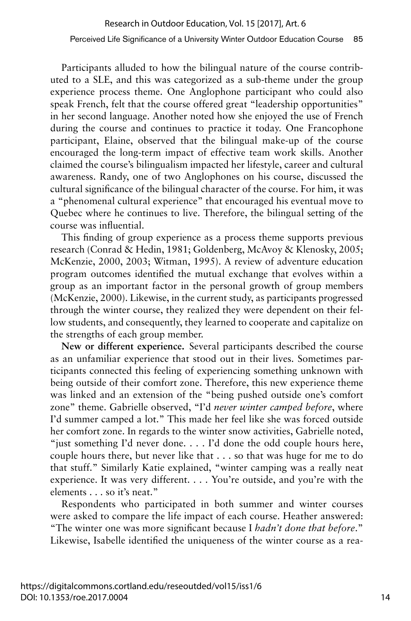Participants alluded to how the bilingual nature of the course contributed to a SLE, and this was categorized as a sub-theme under the group experience process theme. One Anglophone participant who could also speak French, felt that the course offered great "leadership opportunities" in her second language. Another noted how she enjoyed the use of French during the course and continues to practice it today. One Francophone participant, Elaine, observed that the bilingual make-up of the course encouraged the long-term impact of effective team work skills. Another claimed the course's bilingualism impacted her lifestyle, career and cultural awareness. Randy, one of two Anglophones on his course, discussed the cultural significance of the bilingual character of the course. For him, it was a "phenomenal cultural experience" that encouraged his eventual move to Quebec where he continues to live. Therefore, the bilingual setting of the course was influential.

This finding of group experience as a process theme supports previous research (Conrad & Hedin, 1981; Goldenberg, McAvoy & Klenosky, 2005; McKenzie, 2000, 2003; Witman, 1995). A review of adventure education program outcomes identified the mutual exchange that evolves within a group as an important factor in the personal growth of group members (McKenzie, 2000). Likewise, in the current study, as participants progressed through the winter course, they realized they were dependent on their fellow students, and consequently, they learned to cooperate and capitalize on the strengths of each group member.

**New or different experience.** Several participants described the course as an unfamiliar experience that stood out in their lives. Sometimes participants connected this feeling of experiencing something unknown with being outside of their comfort zone. Therefore, this new experience theme was linked and an extension of the "being pushed outside one's comfort zone" theme. Gabrielle observed, "I'd *never winter camped before*, where I'd summer camped a lot." This made her feel like she was forced outside her comfort zone. In regards to the winter snow activities, Gabrielle noted, "just something I'd never done. . . . I'd done the odd couple hours here, couple hours there, but never like that . . . so that was huge for me to do that stuff." Similarly Katie explained, "winter camping was a really neat experience. It was very different. . . . You're outside, and you're with the elements . . . so it's neat."

Respondents who participated in both summer and winter courses were asked to compare the life impact of each course. Heather answered: "The winter one was more significant because I *hadn't done that before*." Likewise, Isabelle identified the uniqueness of the winter course as a rea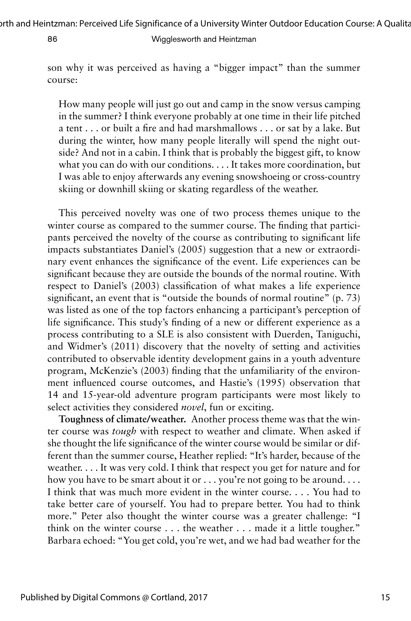orth and Heintzman: Perceived Life Significance of a University Winter Outdoor Education Course: A Qualita

86 Wigglesworth and Heintzman

son why it was perceived as having a "bigger impact" than the summer course:

How many people will just go out and camp in the snow versus camping in the summer? I think everyone probably at one time in their life pitched a tent . . . or built a fire and had marshmallows . . . or sat by a lake. But during the winter, how many people literally will spend the night outside? And not in a cabin. I think that is probably the biggest gift, to know what you can do with our conditions. . . . It takes more coordination, but I was able to enjoy afterwards any evening snowshoeing or cross-country skiing or downhill skiing or skating regardless of the weather.

This perceived novelty was one of two process themes unique to the winter course as compared to the summer course. The finding that participants perceived the novelty of the course as contributing to significant life impacts substantiates Daniel's (2005) suggestion that a new or extraordinary event enhances the significance of the event. Life experiences can be significant because they are outside the bounds of the normal routine. With respect to Daniel's (2003) classification of what makes a life experience significant, an event that is "outside the bounds of normal routine" (p. 73) was listed as one of the top factors enhancing a participant's perception of life significance. This study's finding of a new or different experience as a process contributing to a SLE is also consistent with Duerden, Taniguchi, and Widmer's (2011) discovery that the novelty of setting and activities contributed to observable identity development gains in a youth adventure program, McKenzie's (2003) finding that the unfamiliarity of the environment influenced course outcomes, and Hastie's (1995) observation that 14 and 15-year-old adventure program participants were most likely to select activities they considered *novel*, fun or exciting.

**Toughness of climate/weather.** Another process theme was that the winter course was *tough* with respect to weather and climate. When asked if she thought the life significance of the winter course would be similar or different than the summer course, Heather replied: "It's harder, because of the weather. . . . It was very cold. I think that respect you get for nature and for how you have to be smart about it or ... you're not going to be around.... I think that was much more evident in the winter course. . . . You had to take better care of yourself. You had to prepare better. You had to think more." Peter also thought the winter course was a greater challenge: "I think on the winter course . . . the weather . . . made it a little tougher." Barbara echoed: "You get cold, you're wet, and we had bad weather for the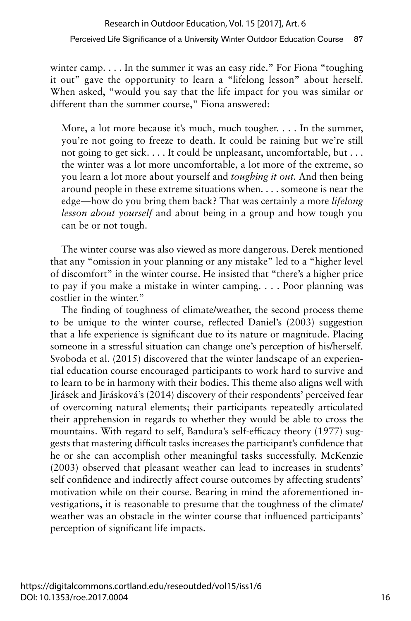Perceived Life Significance of a University Winter Outdoor Education Course 87

winter camp.... In the summer it was an easy ride." For Fiona "toughing it out" gave the opportunity to learn a "lifelong lesson" about herself. When asked, "would you say that the life impact for you was similar or different than the summer course," Fiona answered:

More, a lot more because it's much, much tougher. . . . In the summer, you're not going to freeze to death. It could be raining but we're still not going to get sick.... It could be unpleasant, uncomfortable, but... the winter was a lot more uncomfortable, a lot more of the extreme, so you learn a lot more about yourself and *toughing it out.* And then being around people in these extreme situations when. . . . someone is near the edge—how do you bring them back? That was certainly a more *lifelong lesson about yourself* and about being in a group and how tough you can be or not tough.

The winter course was also viewed as more dangerous. Derek mentioned that any "omission in your planning or any mistake" led to a "higher level of discomfort" in the winter course. He insisted that "there's a higher price to pay if you make a mistake in winter camping. . . . Poor planning was costlier in the winter."

The finding of toughness of climate/weather, the second process theme to be unique to the winter course, reflected Daniel's (2003) suggestion that a life experience is significant due to its nature or magnitude. Placing someone in a stressful situation can change one's perception of his/herself. Svoboda et al. (2015) discovered that the winter landscape of an experiential education course encouraged participants to work hard to survive and to learn to be in harmony with their bodies. This theme also aligns well with Jirásek and Jirásková's (2014) discovery of their respondents' perceived fear of overcoming natural elements; their participants repeatedly articulated their apprehension in regards to whether they would be able to cross the mountains. With regard to self, Bandura's self-efficacy theory (1977) suggests that mastering difficult tasks increases the participant's confidence that he or she can accomplish other meaningful tasks successfully. McKenzie (2003) observed that pleasant weather can lead to increases in students' self confidence and indirectly affect course outcomes by affecting students' motivation while on their course. Bearing in mind the aforementioned investigations, it is reasonable to presume that the toughness of the climate/ weather was an obstacle in the winter course that influenced participants' perception of significant life impacts.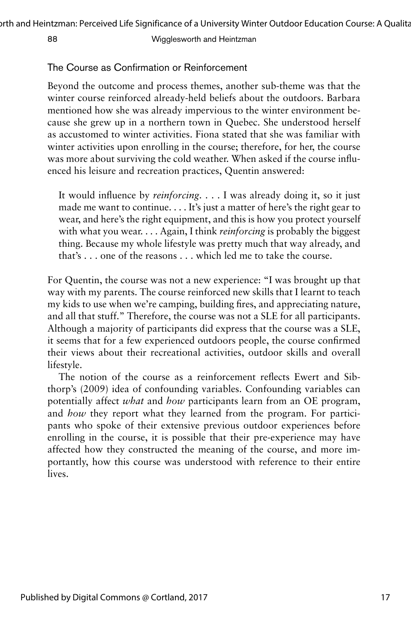## The Course as Confirmation or Reinforcement

Beyond the outcome and process themes, another sub-theme was that the winter course reinforced already-held beliefs about the outdoors. Barbara mentioned how she was already impervious to the winter environment because she grew up in a northern town in Quebec. She understood herself as accustomed to winter activities. Fiona stated that she was familiar with winter activities upon enrolling in the course; therefore, for her, the course was more about surviving the cold weather. When asked if the course influenced his leisure and recreation practices, Quentin answered:

It would influence by *reinforcing*. . . . I was already doing it, so it just made me want to continue. . . . It's just a matter of here's the right gear to wear, and here's the right equipment, and this is how you protect yourself with what you wear. . . . Again, I think *reinforcing* is probably the biggest thing. Because my whole lifestyle was pretty much that way already, and that's . . . one of the reasons . . . which led me to take the course.

For Quentin, the course was not a new experience: "I was brought up that way with my parents. The course reinforced new skills that I learnt to teach my kids to use when we're camping, building fires, and appreciating nature, and all that stuff." Therefore, the course was not a SLE for all participants. Although a majority of participants did express that the course was a SLE, it seems that for a few experienced outdoors people, the course confirmed their views about their recreational activities, outdoor skills and overall lifestyle.

The notion of the course as a reinforcement reflects Ewert and Sibthorp's (2009) idea of confounding variables. Confounding variables can potentially affect *what* and *how* participants learn from an OE program, and *how* they report what they learned from the program. For participants who spoke of their extensive previous outdoor experiences before enrolling in the course, it is possible that their pre-experience may have affected how they constructed the meaning of the course, and more importantly, how this course was understood with reference to their entire lives.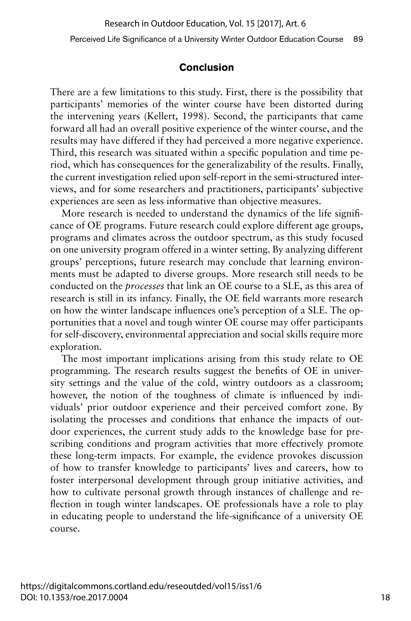Research in Outdoor Education, Vol. 15 [2017], Art. 6

Perceived Life Significance of a University Winter Outdoor Education Course 89

#### **Conclusion**

There are a few limitations to this study. First, there is the possibility that participants' memories of the winter course have been distorted during the intervening years (Kellert, 1998). Second, the participants that came forward all had an overall positive experience of the winter course, and the results may have differed if they had perceived a more negative experience. Third, this research was situated within a specific population and time period, which has consequences for the generalizability of the results. Finally, the current investigation relied upon self-report in the semi-structured interviews, and for some researchers and practitioners, participants' subjective experiences are seen as less informative than objective measures.

More research is needed to understand the dynamics of the life significance of OE programs. Future research could explore different age groups, programs and climates across the outdoor spectrum, as this study focused on one university program offered in a winter setting. By analyzing different groups' perceptions, future research may conclude that learning environments must be adapted to diverse groups. More research still needs to be conducted on the *processes* that link an OE course to a SLE, as this area of research is still in its infancy. Finally, the OE field warrants more research on how the winter landscape influences one's perception of a SLE. The opportunities that a novel and tough winter OE course may offer participants for self-discovery, environmental appreciation and social skills require more exploration.

The most important implications arising from this study relate to OE programming. The research results suggest the benefits of OE in university settings and the value of the cold, wintry outdoors as a classroom; however, the notion of the toughness of climate is influenced by individuals' prior outdoor experience and their perceived comfort zone. By isolating the processes and conditions that enhance the impacts of outdoor experiences, the current study adds to the knowledge base for prescribing conditions and program activities that more effectively promote these long-term impacts. For example, the evidence provokes discussion of how to transfer knowledge to participants' lives and careers, how to foster interpersonal development through group initiative activities, and how to cultivate personal growth through instances of challenge and reflection in tough winter landscapes. OE professionals have a role to play in educating people to understand the life-significance of a university OE course.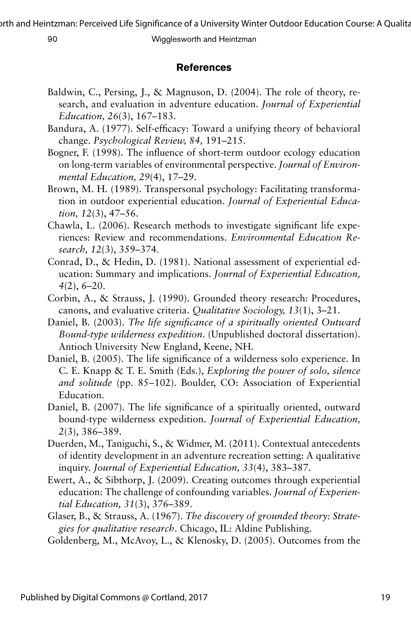orth and Heintzman: Perceived Life Significance of a University Winter Outdoor Education Course: A Qualita

90 Wigglesworth and Heintzman

#### **References**

- Baldwin, C., Persing, J., & Magnuson, D. (2004). The role of theory, research, and evaluation in adventure education. *Journal of Experiential Education, 26*(3), 167–183.
- Bandura, A. (1977). Self-efficacy: Toward a unifying theory of behavioral change. *Psychological Review, 84,* 191–215.
- Bogner, F. (1998). The influence of short-term outdoor ecology education on long-term variables of environmental perspective. *Journal of Environmental Education, 29*(4), 17–29.
- Brown, M. H. (1989). Transpersonal psychology: Facilitating transformation in outdoor experiential education. *Journal of Experiential Education, 12*(3), 47–56.
- Chawla, L. (2006). Research methods to investigate significant life experiences: Review and recommendations. *Environmental Education Research, 12*(3), 359–374.
- Conrad, D., & Hedin, D. (1981). National assessment of experiential education: Summary and implications. *Journal of Experiential Education, 4*(2), 6–20.
- Corbin, A., & Strauss, J. (1990). Grounded theory research: Procedures, canons, and evaluative criteria. *Qualitative Sociology, 13*(1), 3–21.
- Daniel, B. (2003). *The life significance of a spiritually oriented Outward Bound-type wilderness expedition*. (Unpublished doctoral dissertation). Antioch University New England, Keene, NH.
- Daniel, B. (2005). The life significance of a wilderness solo experience. In C. E. Knapp & T. E. Smith (Eds.), *Exploring the power of solo, silence*  and solitude (pp. 85–102). Boulder, CO: Association of Experiential Education.
- Daniel, B. (2007). The life significance of a spiritually oriented, outward bound-type wilderness expedition. *Journal of Experiential Education, 2*(3), 386–389.
- Duerden, M., Taniguchi, S., & Widmer, M. (2011). Contextual antecedents of identity development in an adventure recreation setting: A qualitative inquiry. *Journal of Experiential Education, 33*(4), 383–387.
- Ewert, A., & Sibthorp, J. (2009). Creating outcomes through experiential education: The challenge of confounding variables. *Journal of Experiential Education, 31*(3), 376–389.
- Glaser, B., & Strauss, A. (1967). *The discovery of grounded theory: Strategies for qualitative research*. Chicago, IL: Aldine Publishing.

Goldenberg, M., McAvoy, L., & Klenosky, D. (2005). Outcomes from the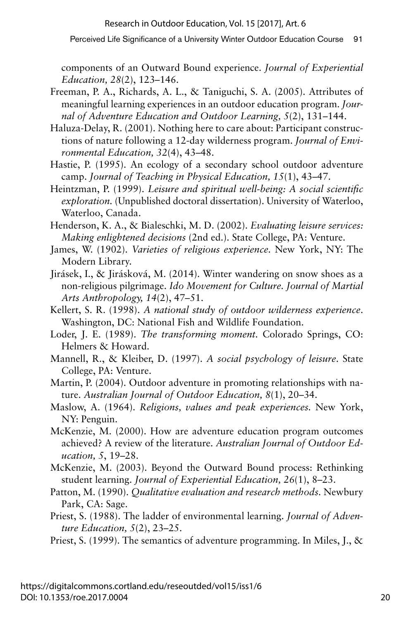Perceived Life Significance of a University Winter Outdoor Education Course 91

components of an Outward Bound experience. *Journal of Experiential Education, 28*(2), 123–146.

- Freeman, P. A., Richards, A. L., & Taniguchi, S. A. (2005). Attributes of meaningful learning experiences in an outdoor education program. *Journal of Adventure Education and Outdoor Learning, 5*(2), 131–144.
- Haluza-Delay, R. (2001). Nothing here to care about: Participant constructions of nature following a 12-day wilderness program. *Journal of Environmental Education, 32*(4), 43–48.
- Hastie, P. (1995). An ecology of a secondary school outdoor adventure camp. *Journal of Teaching in Physical Education, 15*(1), 43–47.
- Heintzman, P. (1999). *Leisure and spiritual well-being: A social scientific exploration.* (Unpublished doctoral dissertation). University of Waterloo, Waterloo, Canada.
- Henderson, K. A., & Bialeschki, M. D. (2002). *Evaluating leisure services: Making enlightened decisions* (2nd ed.). State College, PA: Venture.
- James, W. (1902). *Varieties of religious experience.* New York, NY: The Modern Library.
- Jirásek, I., & Jirásková, M. (2014). Winter wandering on snow shoes as a non-religious pilgrimage. *Ido Movement for Culture. Journal of Martial Arts Anthropology, 14*(2), 47–51.
- Kellert, S. R. (1998). *A national study of outdoor wilderness experience*. Washington, DC: National Fish and Wildlife Foundation.
- Loder, J. E. (1989). *The transforming moment.* Colorado Springs, CO: Helmers & Howard.
- Mannell, R., & Kleiber, D. (1997). *A social psychology of leisure*. State College, PA: Venture.
- Martin, P. (2004). Outdoor adventure in promoting relationships with nature. *Australian Journal of Outdoor Education, 8*(1), 20–34.
- Maslow, A. (1964). *Religions, values and peak experiences.* New York, NY: Penguin.
- McKenzie, M. (2000). How are adventure education program outcomes achieved? A review of the literature. *Australian Journal of Outdoor Education, 5*, 19–28.
- McKenzie, M. (2003). Beyond the Outward Bound process: Rethinking student learning. *Journal of Experiential Education, 26*(1), 8–23.
- Patton, M. (1990). *Qualitative evaluation and research methods.* Newbury Park, CA: Sage.
- Priest, S. (1988). The ladder of environmental learning. *Journal of Adventure Education, 5*(2), 23–25.
- Priest, S. (1999). The semantics of adventure programming. In Miles, J., &